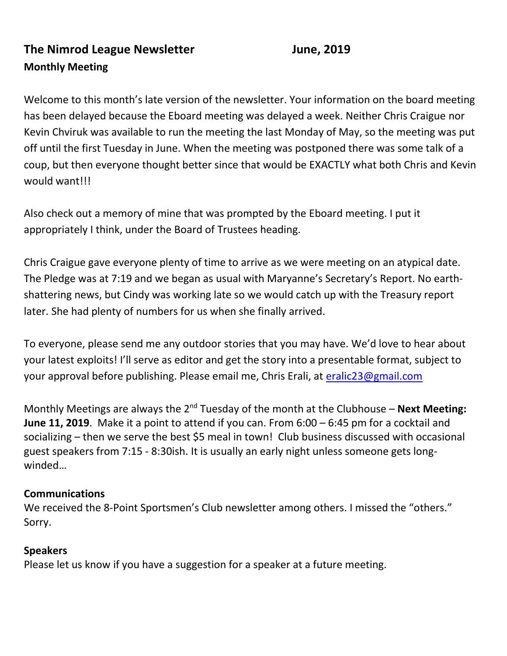# **The Nimrod League Newsletter Manufally State State State State June, 2019 Monthly Meeting**

Welcome to this month's late version of the newsletter. Your information on the board meeting has been delayed because the Eboard meeting was delayed a week. Neither Chris Craigue nor Kevin Chviruk was available to run the meeting the last Monday of May, so the meeting was put off until the first Tuesday in June. When the meeting was postponed there was some talk of a coup, but then everyone thought better since that would be EXACTLY what both Chris and Kevin would want!!!

Also check out a memory of mine that was prompted by the Eboard meeting. I put it appropriately I think, under the Board of Trustees heading.

Chris Craigue gave everyone plenty of time to arrive as we were meeting on an atypical date. The Pledge was at 7:19 and we began as usual with Maryanne's Secretary's Report. No earthshattering news, but Cindy was working late so we would catch up with the Treasury report later. She had plenty of numbers for us when she finally arrived.

To everyone, please send me any outdoor stories that you may have. We'd love to hear about your latest exploits! I'll serve as editor and get the story into a presentable format, subject to your approval before publishing. Please email me, Chris Erali, at [eralic23@gmail.com](mailto:eralic23@gmail.com)

Monthly Meetings are always the 2<sup>nd</sup> Tuesday of the month at the Clubhouse – **Next Meeting: June 11, 2019**. Make it a point to attend if you can. From 6:00 – 6:45 pm for a cocktail and socializing – then we serve the best \$5 meal in town! Club business discussed with occasional guest speakers from 7:15 - 8:30ish. It is usually an early night unless someone gets longwinded…

#### **Communications**

We received the 8-Point Sportsmen's Club newsletter among others. I missed the "others." Sorry.

#### **Speakers**

Please let us know if you have a suggestion for a speaker at a future meeting.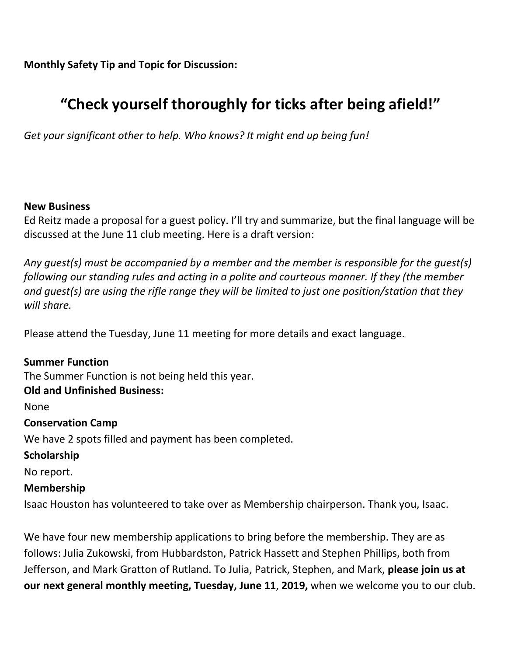**Monthly Safety Tip and Topic for Discussion:** 

# **"Check yourself thoroughly for ticks after being afield!"**

*Get your significant other to help. Who knows? It might end up being fun!*

#### **New Business**

Ed Reitz made a proposal for a guest policy. I'll try and summarize, but the final language will be discussed at the June 11 club meeting. Here is a draft version:

*Any guest(s) must be accompanied by a member and the member is responsible for the guest(s) following our standing rules and acting in a polite and courteous manner. If they (the member and guest(s) are using the rifle range they will be limited to just one position/station that they will share.*

Please attend the Tuesday, June 11 meeting for more details and exact language.

**Summer Function** The Summer Function is not being held this year. **Old and Unfinished Business:** None **Conservation Camp** We have 2 spots filled and payment has been completed. **Scholarship**  No report. **Membership**

Isaac Houston has volunteered to take over as Membership chairperson. Thank you, Isaac.

We have four new membership applications to bring before the membership. They are as follows: Julia Zukowski, from Hubbardston, Patrick Hassett and Stephen Phillips, both from Jefferson, and Mark Gratton of Rutland. To Julia, Patrick, Stephen, and Mark, **please join us at our next general monthly meeting, Tuesday, June 11**, **2019,** when we welcome you to our club.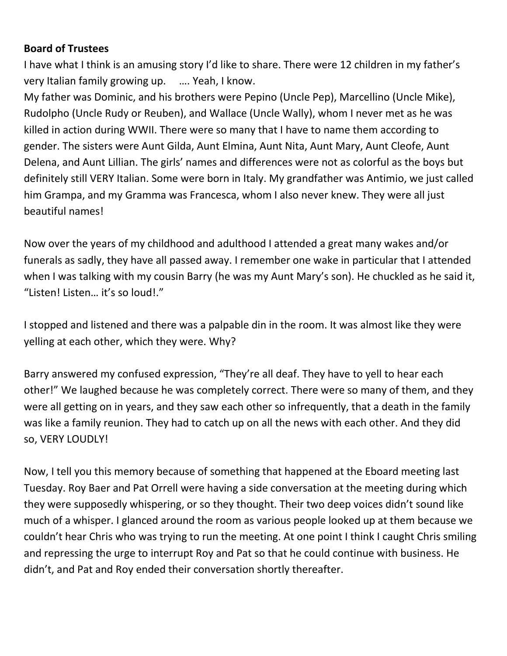#### **Board of Trustees**

I have what I think is an amusing story I'd like to share. There were 12 children in my father's very Italian family growing up. …. Yeah, I know.

My father was Dominic, and his brothers were Pepino (Uncle Pep), Marcellino (Uncle Mike), Rudolpho (Uncle Rudy or Reuben), and Wallace (Uncle Wally), whom I never met as he was killed in action during WWII. There were so many that I have to name them according to gender. The sisters were Aunt Gilda, Aunt Elmina, Aunt Nita, Aunt Mary, Aunt Cleofe, Aunt Delena, and Aunt Lillian. The girls' names and differences were not as colorful as the boys but definitely still VERY Italian. Some were born in Italy. My grandfather was Antimio, we just called him Grampa, and my Gramma was Francesca, whom I also never knew. They were all just beautiful names!

Now over the years of my childhood and adulthood I attended a great many wakes and/or funerals as sadly, they have all passed away. I remember one wake in particular that I attended when I was talking with my cousin Barry (he was my Aunt Mary's son). He chuckled as he said it, "Listen! Listen… it's so loud!."

I stopped and listened and there was a palpable din in the room. It was almost like they were yelling at each other, which they were. Why?

Barry answered my confused expression, "They're all deaf. They have to yell to hear each other!" We laughed because he was completely correct. There were so many of them, and they were all getting on in years, and they saw each other so infrequently, that a death in the family was like a family reunion. They had to catch up on all the news with each other. And they did so, VERY LOUDLY!

Now, I tell you this memory because of something that happened at the Eboard meeting last Tuesday. Roy Baer and Pat Orrell were having a side conversation at the meeting during which they were supposedly whispering, or so they thought. Their two deep voices didn't sound like much of a whisper. I glanced around the room as various people looked up at them because we couldn't hear Chris who was trying to run the meeting. At one point I think I caught Chris smiling and repressing the urge to interrupt Roy and Pat so that he could continue with business. He didn't, and Pat and Roy ended their conversation shortly thereafter.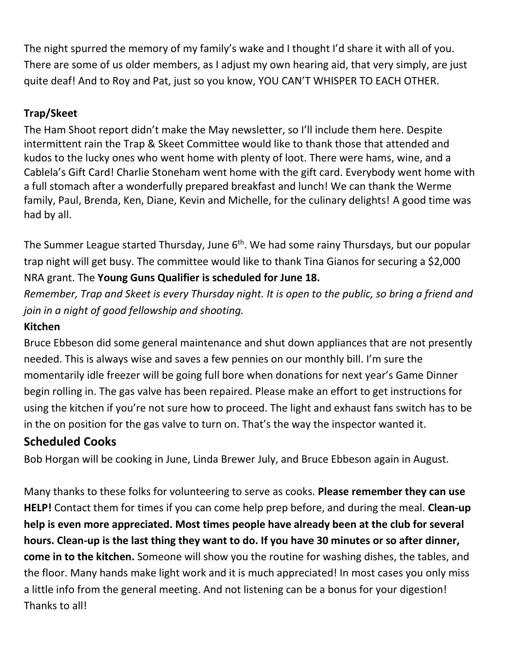The night spurred the memory of my family's wake and I thought I'd share it with all of you. There are some of us older members, as I adjust my own hearing aid, that very simply, are just quite deaf! And to Roy and Pat, just so you know, YOU CAN'T WHISPER TO EACH OTHER.

## **Trap/Skeet**

The Ham Shoot report didn't make the May newsletter, so I'll include them here. Despite intermittent rain the Trap & Skeet Committee would like to thank those that attended and kudos to the lucky ones who went home with plenty of loot. There were hams, wine, and a Cablela's Gift Card! Charlie Stoneham went home with the gift card. Everybody went home with a full stomach after a wonderfully prepared breakfast and lunch! We can thank the Werme family, Paul, Brenda, Ken, Diane, Kevin and Michelle, for the culinary delights! A good time was had by all.

The Summer League started Thursday, June 6<sup>th</sup>. We had some rainy Thursdays, but our popular trap night will get busy. The committee would like to thank Tina Gianos for securing a \$2,000 NRA grant. The **Young Guns Qualifier is scheduled for June 18.**

*Remember, Trap and Skeet is every Thursday night. It is open to the public, so bring a friend and join in a night of good fellowship and shooting.*

### **Kitchen**

Bruce Ebbeson did some general maintenance and shut down appliances that are not presently needed. This is always wise and saves a few pennies on our monthly bill. I'm sure the momentarily idle freezer will be going full bore when donations for next year's Game Dinner begin rolling in. The gas valve has been repaired. Please make an effort to get instructions for using the kitchen if you're not sure how to proceed. The light and exhaust fans switch has to be in the on position for the gas valve to turn on. That's the way the inspector wanted it.

# **Scheduled Cooks**

Bob Horgan will be cooking in June, Linda Brewer July, and Bruce Ebbeson again in August.

Many thanks to these folks for volunteering to serve as cooks. **Please remember they can use HELP!** Contact them for times if you can come help prep before, and during the meal. **Clean-up help is even more appreciated. Most times people have already been at the club for several hours. Clean-up is the last thing they want to do. If you have 30 minutes or so after dinner, come in to the kitchen.** Someone will show you the routine for washing dishes, the tables, and the floor. Many hands make light work and it is much appreciated! In most cases you only miss a little info from the general meeting. And not listening can be a bonus for your digestion! Thanks to all!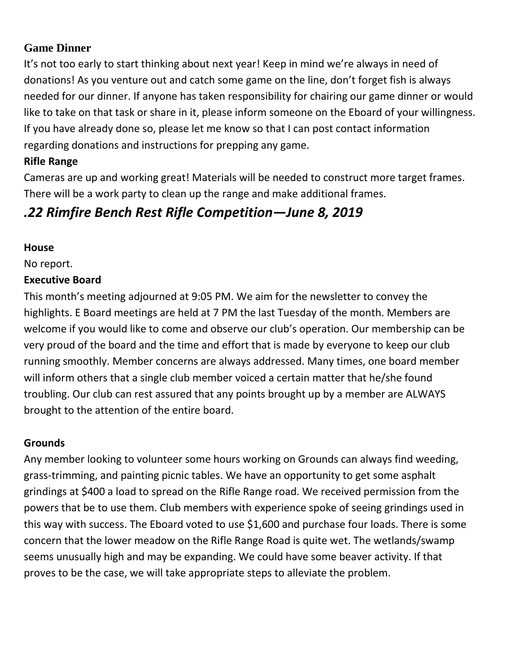#### **Game Dinner**

It's not too early to start thinking about next year! Keep in mind we're always in need of donations! As you venture out and catch some game on the line, don't forget fish is always needed for our dinner. If anyone has taken responsibility for chairing our game dinner or would like to take on that task or share in it, please inform someone on the Eboard of your willingness. If you have already done so, please let me know so that I can post contact information regarding donations and instructions for prepping any game.

#### **Rifle Range**

Cameras are up and working great! Materials will be needed to construct more target frames. There will be a work party to clean up the range and make additional frames.

# *.22 Rimfire Bench Rest Rifle Competition—June 8, 2019*

#### **House**

No report.

#### **Executive Board**

This month's meeting adjourned at 9:05 PM. We aim for the newsletter to convey the highlights. E Board meetings are held at 7 PM the last Tuesday of the month. Members are welcome if you would like to come and observe our club's operation. Our membership can be very proud of the board and the time and effort that is made by everyone to keep our club running smoothly. Member concerns are always addressed. Many times, one board member will inform others that a single club member voiced a certain matter that he/she found troubling. Our club can rest assured that any points brought up by a member are ALWAYS brought to the attention of the entire board.

#### **Grounds**

Any member looking to volunteer some hours working on Grounds can always find weeding, grass-trimming, and painting picnic tables. We have an opportunity to get some asphalt grindings at \$400 a load to spread on the Rifle Range road. We received permission from the powers that be to use them. Club members with experience spoke of seeing grindings used in this way with success. The Eboard voted to use \$1,600 and purchase four loads. There is some concern that the lower meadow on the Rifle Range Road is quite wet. The wetlands/swamp seems unusually high and may be expanding. We could have some beaver activity. If that proves to be the case, we will take appropriate steps to alleviate the problem.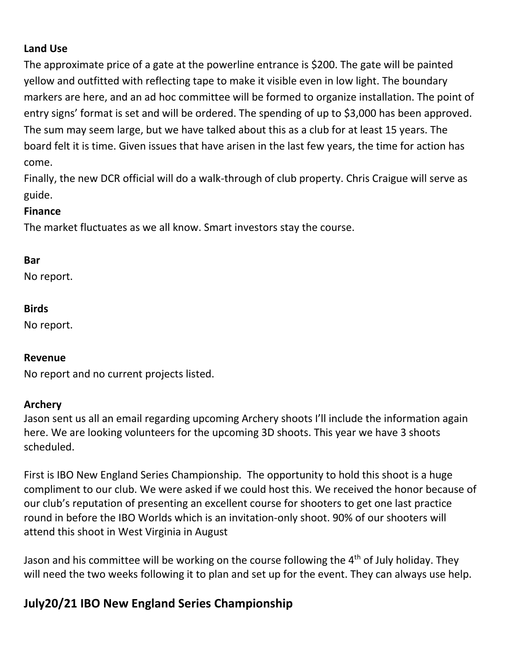#### **Land Use**

The approximate price of a gate at the powerline entrance is \$200. The gate will be painted yellow and outfitted with reflecting tape to make it visible even in low light. The boundary markers are here, and an ad hoc committee will be formed to organize installation. The point of entry signs' format is set and will be ordered. The spending of up to \$3,000 has been approved. The sum may seem large, but we have talked about this as a club for at least 15 years. The board felt it is time. Given issues that have arisen in the last few years, the time for action has come.

Finally, the new DCR official will do a walk-through of club property. Chris Craigue will serve as guide.

#### **Finance**

The market fluctuates as we all know. Smart investors stay the course.

#### **Bar**

No report.

#### **Birds**

No report.

#### **Revenue**

No report and no current projects listed.

#### **Archery**

Jason sent us all an email regarding upcoming Archery shoots I'll include the information again here. We are looking volunteers for the upcoming 3D shoots. This year we have 3 shoots scheduled.

First is IBO New England Series Championship. The opportunity to hold this shoot is a huge compliment to our club. We were asked if we could host this. We received the honor because of our club's reputation of presenting an excellent course for shooters to get one last practice round in before the IBO Worlds which is an invitation-only shoot. 90% of our shooters will attend this shoot in West Virginia in August

Jason and his committee will be working on the course following the  $4<sup>th</sup>$  of July holiday. They will need the two weeks following it to plan and set up for the event. They can always use help.

# **July20/21 IBO New England Series Championship**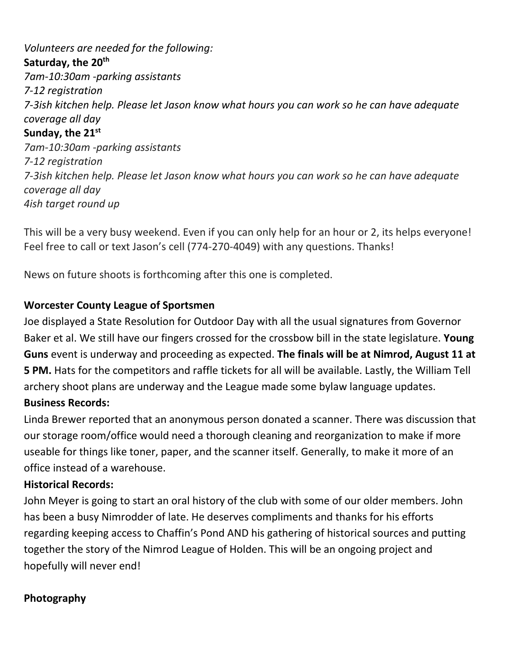*Volunteers are needed for the following:* **Saturday, the 20th** *7am-10:30am -parking assistants 7-12 registration 7-3ish kitchen help. Please let Jason know what hours you can work so he can have adequate coverage all day* **Sunday, the 21st** *7am-10:30am -parking assistants 7-12 registration 7-3ish kitchen help. Please let Jason know what hours you can work so he can have adequate coverage all day 4ish target round up*

This will be a very busy weekend. Even if you can only help for an hour or 2, its helps everyone! Feel free to call or text Jason's cell (774-270-4049) with any questions. Thanks!

News on future shoots is forthcoming after this one is completed.

#### **Worcester County League of Sportsmen**

Joe displayed a State Resolution for Outdoor Day with all the usual signatures from Governor Baker et al. We still have our fingers crossed for the crossbow bill in the state legislature. **Young Guns** event is underway and proceeding as expected. **The finals will be at Nimrod, August 11 at 5 PM.** Hats for the competitors and raffle tickets for all will be available. Lastly, the William Tell archery shoot plans are underway and the League made some bylaw language updates. **Business Records:** 

Linda Brewer reported that an anonymous person donated a scanner. There was discussion that our storage room/office would need a thorough cleaning and reorganization to make if more useable for things like toner, paper, and the scanner itself. Generally, to make it more of an office instead of a warehouse.

#### **Historical Records:**

John Meyer is going to start an oral history of the club with some of our older members. John has been a busy Nimrodder of late. He deserves compliments and thanks for his efforts regarding keeping access to Chaffin's Pond AND his gathering of historical sources and putting together the story of the Nimrod League of Holden. This will be an ongoing project and hopefully will never end!

#### **Photography**